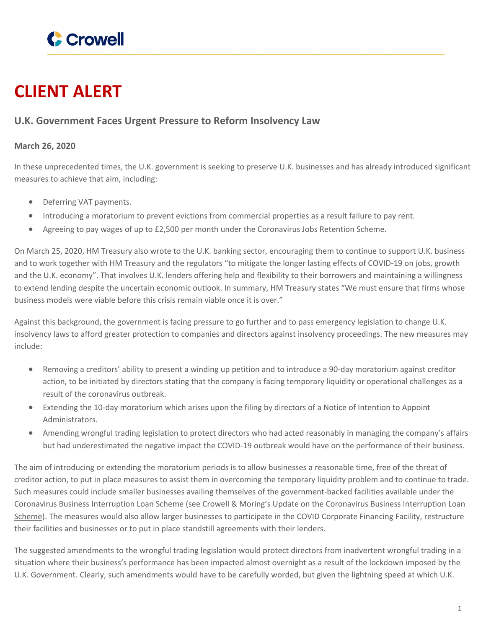

## **CLIENT ALERT**

## **U.K. Government Faces Urgent Pressure to Reform Insolvency Law**

## **March 26, 2020**

In these unprecedented times, the U.K. government is seeking to preserve U.K. businesses and has already introduced significant measures to achieve that aim, including:

- Deferring VAT payments.
- Introducing a moratorium to prevent evictions from commercial properties as a result failure to pay rent.
- Agreeing to pay wages of up to £2,500 per month under the Coronavirus Jobs Retention Scheme.

On March 25, 2020, HM Treasury also wrote to the U.K. banking sector, encouraging them to continue to support U.K. business and to work together with HM Treasury and the regulators "to mitigate the longer lasting effects of COVID-19 on jobs, growth and the U.K. economy". That involves U.K. lenders offering help and flexibility to their borrowers and maintaining a willingness to extend lending despite the uncertain economic outlook. In summary, HM Treasury states "We must ensure that firms whose business models were viable before this crisis remain viable once it is over."

Against this background, the government is facing pressure to go further and to pass emergency legislation to change U.K. insolvency laws to afford greater protection to companies and directors against insolvency proceedings. The new measures may include:

- Removing a creditors' ability to present a winding up petition and to introduce a 90-day moratorium against creditor action, to be initiated by directors stating that the company is facing temporary liquidity or operational challenges as a result of the coronavirus outbreak.
- Extending the 10-day moratorium which arises upon the filing by directors of a Notice of Intention to Appoint Administrators.
- Amending wrongful trading legislation to protect directors who had acted reasonably in managing the company's affairs but had underestimated the negative impact the COVID-19 outbreak would have on the performance of their business.

The aim of introducing or extending the moratorium periods is to allow businesses a reasonable time, free of the threat of creditor action, to put in place measures to assist them in overcoming the temporary liquidity problem and to continue to trade. Such measures could include smaller businesses availing themselves of the government-backed facilities available under the Coronavirus Business Interruption Loan Scheme (see Crowell & Moring's Update on the Coronavirus Business [Interruption](https://www.crowell.com/NewsEvents/AlertsNewsletters/all/Coronavirus-Business-Interruption-Loan-Scheme-Key-Points) Loan [Scheme](https://www.crowell.com/NewsEvents/AlertsNewsletters/all/Coronavirus-Business-Interruption-Loan-Scheme-Key-Points)). The measures would also allow larger businesses to participate in the COVID Corporate Financing Facility, restructure their facilities and businesses or to put in place standstill agreements with their lenders.

The suggested amendments to the wrongful trading legislation would protect directors from inadvertent wrongful trading in a situation where their business's performance has been impacted almost overnight as a result of the lockdown imposed by the U.K. Government. Clearly, such amendments would have to be carefully worded, but given the lightning speed at which U.K.